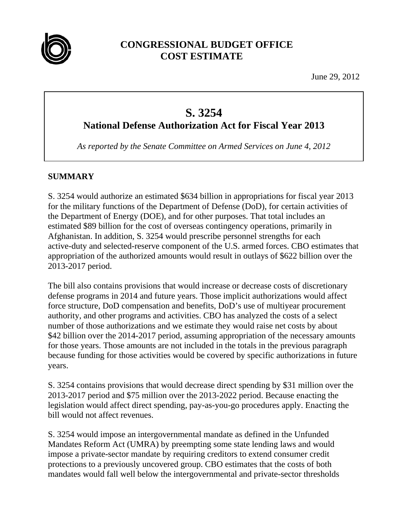

# **CONGRESSIONAL BUDGET OFFICE COST ESTIMATE**

June 29, 2012

# **S. 3254**

**National Defense Authorization Act for Fiscal Year 2013** 

*As reported by the Senate Committee on Armed Services on June 4, 2012* 

# **SUMMARY**

S. 3254 would authorize an estimated \$634 billion in appropriations for fiscal year 2013 for the military functions of the Department of Defense (DoD), for certain activities of the Department of Energy (DOE), and for other purposes. That total includes an estimated \$89 billion for the cost of overseas contingency operations, primarily in Afghanistan. In addition, S. 3254 would prescribe personnel strengths for each active-duty and selected-reserve component of the U.S. armed forces. CBO estimates that appropriation of the authorized amounts would result in outlays of \$622 billion over the 2013-2017 period.

The bill also contains provisions that would increase or decrease costs of discretionary defense programs in 2014 and future years. Those implicit authorizations would affect force structure, DoD compensation and benefits, DoD's use of multiyear procurement authority, and other programs and activities. CBO has analyzed the costs of a select number of those authorizations and we estimate they would raise net costs by about \$42 billion over the 2014-2017 period, assuming appropriation of the necessary amounts for those years. Those amounts are not included in the totals in the previous paragraph because funding for those activities would be covered by specific authorizations in future years.

S. 3254 contains provisions that would decrease direct spending by \$31 million over the 2013-2017 period and \$75 million over the 2013-2022 period. Because enacting the legislation would affect direct spending, pay-as-you-go procedures apply. Enacting the bill would not affect revenues.

S. 3254 would impose an intergovernmental mandate as defined in the Unfunded Mandates Reform Act (UMRA) by preempting some state lending laws and would impose a private-sector mandate by requiring creditors to extend consumer credit protections to a previously uncovered group. CBO estimates that the costs of both mandates would fall well below the intergovernmental and private-sector thresholds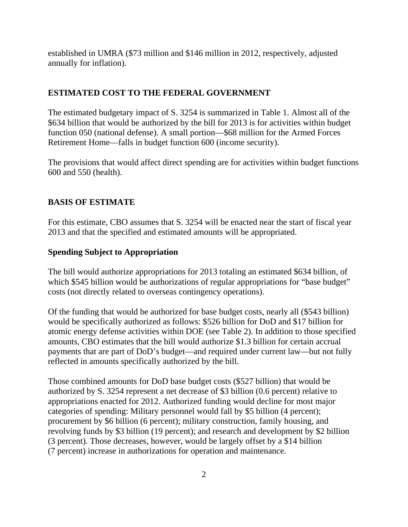established in UMRA (\$73 million and \$146 million in 2012, respectively, adjusted annually for inflation).

# **ESTIMATED COST TO THE FEDERAL GOVERNMENT**

The estimated budgetary impact of S. 3254 is summarized in Table 1. Almost all of the \$634 billion that would be authorized by the bill for 2013 is for activities within budget function 050 (national defense). A small portion—\$68 million for the Armed Forces Retirement Home—falls in budget function 600 (income security).

The provisions that would affect direct spending are for activities within budget functions 600 and 550 (health).

# **BASIS OF ESTIMATE**

For this estimate, CBO assumes that S. 3254 will be enacted near the start of fiscal year 2013 and that the specified and estimated amounts will be appropriated.

# **Spending Subject to Appropriation**

The bill would authorize appropriations for 2013 totaling an estimated \$634 billion, of which \$545 billion would be authorizations of regular appropriations for "base budget" costs (not directly related to overseas contingency operations).

Of the funding that would be authorized for base budget costs, nearly all (\$543 billion) would be specifically authorized as follows: \$526 billion for DoD and \$17 billion for atomic energy defense activities within DOE (see Table 2). In addition to those specified amounts, CBO estimates that the bill would authorize \$1.3 billion for certain accrual payments that are part of DoD's budget—and required under current law—but not fully reflected in amounts specifically authorized by the bill.

Those combined amounts for DoD base budget costs (\$527 billion) that would be authorized by S. 3254 represent a net decrease of \$3 billion (0.6 percent) relative to appropriations enacted for 2012. Authorized funding would decline for most major categories of spending: Military personnel would fall by \$5 billion (4 percent); procurement by \$6 billion (6 percent); military construction, family housing, and revolving funds by \$3 billion (19 percent); and research and development by \$2 billion (3 percent). Those decreases, however, would be largely offset by a \$14 billion (7 percent) increase in authorizations for operation and maintenance.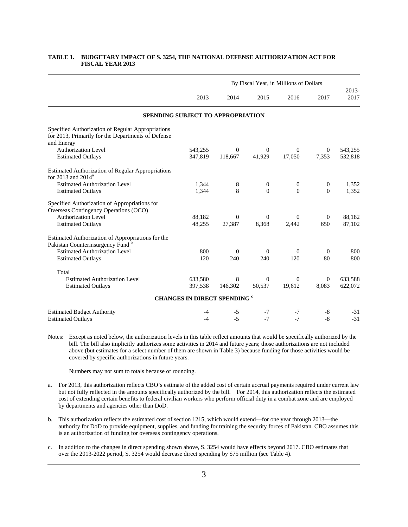|                                                                                                                                                     |            |              |                  | By Fiscal Year, in Millions of Dollars |                  |               |
|-----------------------------------------------------------------------------------------------------------------------------------------------------|------------|--------------|------------------|----------------------------------------|------------------|---------------|
|                                                                                                                                                     | 2013       | 2014         | 2015             | 2016                                   | 2017             | 2013-<br>2017 |
| SPENDING SUBJECT TO APPROPRIATION                                                                                                                   |            |              |                  |                                        |                  |               |
| Specified Authorization of Regular Appropriations<br>for 2013, Primarily for the Departments of Defense<br>and Energy<br><b>Authorization Level</b> | 543,255    | $\Omega$     | $\theta$         | $\Omega$                               | $\overline{0}$   | 543,255       |
| <b>Estimated Outlays</b>                                                                                                                            | 347,819    | 118,667      | 41,929           | 17,050                                 | 7,353            | 532,818       |
| <b>Estimated Authorization of Regular Appropriations</b><br>for 2013 and $2014^a$                                                                   |            |              |                  |                                        |                  |               |
| <b>Estimated Authorization Level</b>                                                                                                                | 1,344      | 8            | $\boldsymbol{0}$ | $\mathbf{0}$                           | $\boldsymbol{0}$ | 1,352         |
| <b>Estimated Outlays</b>                                                                                                                            | 1,344      | 8            | $\Omega$         | $\Omega$                               | $\Omega$         | 1,352         |
| Specified Authorization of Appropriations for<br>Overseas Contingency Operations (OCO)                                                              |            |              |                  |                                        |                  |               |
| <b>Authorization Level</b>                                                                                                                          | 88,182     | $\Omega$     | $\Omega$         | $\Omega$                               | $\Omega$         | 88,182        |
| <b>Estimated Outlays</b>                                                                                                                            | 48,255     | 27,387       | 8,368            | 2,442                                  | 650              | 87,102        |
| Estimated Authorization of Appropriations for the<br>Pakistan Counterinsurgency Fund <sup>b</sup>                                                   |            |              |                  |                                        |                  |               |
| <b>Estimated Authorization Level</b>                                                                                                                | 800        | $\Omega$     | $\Omega$         | $\Omega$                               | $\theta$         | 800           |
| <b>Estimated Outlays</b>                                                                                                                            | 120        | 240          | 240              | 120                                    | 80               | 800           |
| Total                                                                                                                                               |            |              |                  |                                        |                  |               |
| <b>Estimated Authorization Level</b>                                                                                                                | 633,580    | 8            | $\Omega$         | $\Omega$                               | $\overline{0}$   | 633,588       |
| <b>Estimated Outlays</b>                                                                                                                            | 397,538    | 146,302      | 50,537           | 19,612                                 | 8.083            | 622,072       |
| <b>CHANGES IN DIRECT SPENDING "</b>                                                                                                                 |            |              |                  |                                        |                  |               |
| <b>Estimated Budget Authority</b><br><b>Estimated Outlays</b>                                                                                       | -4<br>$-4$ | $-5$<br>$-5$ | $-7$<br>$-7$     | $-7$<br>$-7$                           | -8<br>$-8$       | -31<br>$-31$  |

#### **TABLE 1. BUDGETARY IMPACT OF S. 3254, THE NATIONAL DEFENSE AUTHORIZATION ACT FOR FISCAL YEAR 2013**

Notes: Except as noted below, the authorization levels in this table reflect amounts that would be specifically authorized by the bill. The bill also implicitly authorizes some activities in 2014 and future years; those authorizations are not included above (but estimates for a select number of them are shown in Table 3) because funding for those activities would be covered by specific authorizations in future years.

Numbers may not sum to totals because of rounding.

- a. For 2013, this authorization reflects CBO's estimate of the added cost of certain accrual payments required under current law but not fully reflected in the amounts specifically authorized by the bill. For 2014, this authorization reflects the estimated cost of extending certain benefits to federal civilian workers who perform official duty in a combat zone and are employed by departments and agencies other than DoD.
- b. This authorization reflects the estimated cost of section 1215, which would extend—for one year through 2013—the authority for DoD to provide equipment, supplies, and funding for training the security forces of Pakistan. CBO assumes this is an authorization of funding for overseas contingency operations.
- c. In addition to the changes in direct spending shown above, S. 3254 would have effects beyond 2017. CBO estimates that over the 2013-2022 period, S. 3254 would decrease direct spending by \$75 million (see Table 4).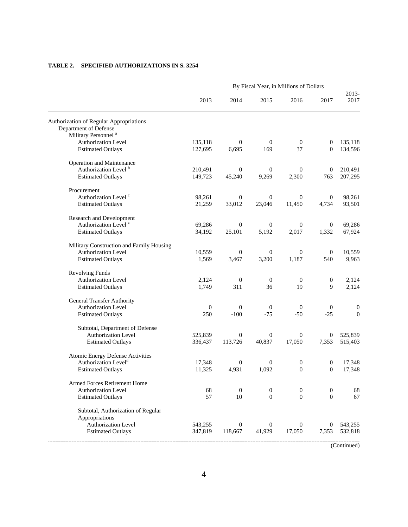|                                                |              | By Fiscal Year, in Millions of Dollars |                  |                  |                  |                  |  |  |  |  |  |
|------------------------------------------------|--------------|----------------------------------------|------------------|------------------|------------------|------------------|--|--|--|--|--|
|                                                | 2013         | 2014                                   | 2015             | 2016             | 2017             | 2013-<br>2017    |  |  |  |  |  |
| <b>Authorization of Regular Appropriations</b> |              |                                        |                  |                  |                  |                  |  |  |  |  |  |
| Department of Defense                          |              |                                        |                  |                  |                  |                  |  |  |  |  |  |
| Military Personnel <sup>a</sup>                |              |                                        |                  |                  |                  |                  |  |  |  |  |  |
| <b>Authorization Level</b>                     | 135,118      | $\mathbf{0}$                           | $\mathbf{0}$     | $\boldsymbol{0}$ | 0                | 135,118          |  |  |  |  |  |
| <b>Estimated Outlays</b>                       | 127,695      | 6,695                                  | 169              | 37               | $\mathbf{0}$     | 134,596          |  |  |  |  |  |
| Operation and Maintenance                      |              |                                        |                  |                  |                  |                  |  |  |  |  |  |
| Authorization Level <sup>b</sup>               | 210,491      | $\overline{0}$                         | $\mathbf{0}$     | $\mathbf{0}$     | $\mathbf{0}$     | 210,491          |  |  |  |  |  |
| <b>Estimated Outlays</b>                       | 149,723      | 45,240                                 | 9,269            | 2,300            | 763              | 207,295          |  |  |  |  |  |
| Procurement                                    |              |                                        |                  |                  |                  |                  |  |  |  |  |  |
| Authorization Level <sup>c</sup>               | 98,261       | $\mathbf{0}$                           | $\mathbf{0}$     | $\mathbf{0}$     | $\mathbf{0}$     | 98,261           |  |  |  |  |  |
| <b>Estimated Outlays</b>                       | 21,259       | 33,012                                 | 23,046           | 11,450           | 4,734            | 93,501           |  |  |  |  |  |
| Research and Development                       |              |                                        |                  |                  |                  |                  |  |  |  |  |  |
| Authorization Level <sup>c</sup>               | 69,286       | $\overline{0}$                         | $\mathbf{0}$     | $\mathbf{0}$     | $\overline{0}$   | 69,286           |  |  |  |  |  |
| <b>Estimated Outlays</b>                       | 34,192       | 25,101                                 | 5,192            | 2,017            | 1,332            | 67,924           |  |  |  |  |  |
| Military Construction and Family Housing       |              |                                        |                  |                  |                  |                  |  |  |  |  |  |
| <b>Authorization Level</b>                     | 10,559       | $\mathbf{0}$                           | $\mathbf{0}$     | $\boldsymbol{0}$ | $\mathbf{0}$     | 10,559           |  |  |  |  |  |
| <b>Estimated Outlays</b>                       | 1,569        | 3,467                                  | 3,200            | 1,187            | 540              | 9,963            |  |  |  |  |  |
| <b>Revolving Funds</b>                         |              |                                        |                  |                  |                  |                  |  |  |  |  |  |
| Authorization Level                            | 2,124        | $\mathbf{0}$                           | $\mathbf{0}$     | $\mathbf{0}$     | $\boldsymbol{0}$ | 2,124            |  |  |  |  |  |
| <b>Estimated Outlays</b>                       | 1,749        | 311                                    | 36               | 19               | 9                | 2,124            |  |  |  |  |  |
| <b>General Transfer Authority</b>              |              |                                        |                  |                  |                  |                  |  |  |  |  |  |
| <b>Authorization Level</b>                     | $\mathbf{0}$ | $\mathbf{0}$                           | $\mathbf{0}$     | $\mathbf{0}$     | $\mathbf{0}$     | $\boldsymbol{0}$ |  |  |  |  |  |
| <b>Estimated Outlays</b>                       | 250          | $-100$                                 | $-75$            | $-50$            | $-25$            | $\boldsymbol{0}$ |  |  |  |  |  |
| Subtotal, Department of Defense                |              |                                        |                  |                  |                  |                  |  |  |  |  |  |
| Authorization Level                            | 525,839      | $\overline{0}$                         | $\boldsymbol{0}$ | $\mathbf{0}$     | $\theta$         | 525,839          |  |  |  |  |  |
| <b>Estimated Outlays</b>                       | 336,437      | 113,726                                | 40,837           | 17,050           | 7,353            | 515,403          |  |  |  |  |  |
| Atomic Energy Defense Activities               |              |                                        |                  |                  |                  |                  |  |  |  |  |  |
| Authorization Level <sup>d</sup>               | 17,348       | $\mathbf{0}$                           | $\overline{0}$   | $\mathbf{0}$     | $\mathbf{0}$     | 17,348           |  |  |  |  |  |
| <b>Estimated Outlays</b>                       | 11,325       | 4,931                                  | 1,092            | $\boldsymbol{0}$ | $\mathbf{0}$     | 17,348           |  |  |  |  |  |
| Armed Forces Retirement Home                   |              |                                        |                  |                  |                  |                  |  |  |  |  |  |
| <b>Authorization Level</b>                     | 68           | $\boldsymbol{0}$                       | $\boldsymbol{0}$ | $\boldsymbol{0}$ | $\mathbf{0}$     | 68               |  |  |  |  |  |
| <b>Estimated Outlays</b>                       | 57           | 10                                     | $\mathbf{0}$     | $\mathbf{0}$     | $\boldsymbol{0}$ | 67               |  |  |  |  |  |
| Subtotal, Authorization of Regular             |              |                                        |                  |                  |                  |                  |  |  |  |  |  |
| Appropriations                                 |              |                                        |                  |                  |                  |                  |  |  |  |  |  |
| Authorization Level                            | 543,255      | $\mathbf{0}$                           | $\mathbf{0}$     | $\mathbf{0}$     | 0                | 543,255          |  |  |  |  |  |
| <b>Estimated Outlays</b>                       | 347,819      | 118,667                                | 41,929           | 17,050           | 7,353            | 532,818          |  |  |  |  |  |
|                                                |              |                                        |                  |                  |                  |                  |  |  |  |  |  |

#### **TABLE 2. SPECIFIED AUTHORIZATIONS IN S. 3254**

(Continued)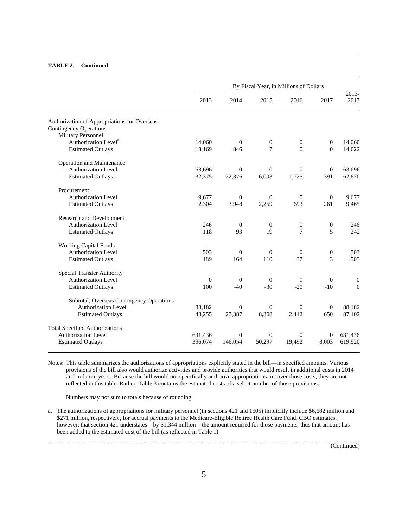#### **TABLE 2. Continued**

|                                              |              |                |                  | By Fiscal Year, in Millions of Dollars |                  |                           |
|----------------------------------------------|--------------|----------------|------------------|----------------------------------------|------------------|---------------------------|
|                                              | 2013         | 2014           | 2015             | 2016                                   | 2017             | $\overline{2013}$<br>2017 |
| Authorization of Appropriations for Overseas |              |                |                  |                                        |                  |                           |
| <b>Contingency Operations</b>                |              |                |                  |                                        |                  |                           |
| <b>Military Personnel</b>                    |              |                |                  |                                        |                  |                           |
| Authorization Level <sup>a</sup>             | 14,060       | $\theta$       | $\mathbf{0}$     | $\boldsymbol{0}$                       | $\overline{0}$   | 14,060                    |
| <b>Estimated Outlays</b>                     | 13,169       | 846            | $\overline{7}$   | $\boldsymbol{0}$                       | $\mathbf{0}$     | 14,022                    |
| Operation and Maintenance                    |              |                |                  |                                        |                  |                           |
| <b>Authorization Level</b>                   | 63,696       | $\overline{0}$ | $\overline{0}$   | $\mathbf{0}$                           | $\mathbf{0}$     | 63.696                    |
| <b>Estimated Outlays</b>                     | 32,375       | 22,376         | 6,003            | 1,725                                  | 391              | 62,870                    |
| Procurement                                  |              |                |                  |                                        |                  |                           |
| <b>Authorization Level</b>                   | 9,677        | $\overline{0}$ | $\theta$         | $\boldsymbol{0}$                       | $\mathbf{0}$     | 9,677                     |
| <b>Estimated Outlays</b>                     | 2,304        | 3,948          | 2,259            | 693                                    | 261              | 9,465                     |
| Research and Development                     |              |                |                  |                                        |                  |                           |
| Authorization Level                          | 246          | $\theta$       | $\mathbf{0}$     | $\boldsymbol{0}$                       | $\mathbf{0}$     | 246                       |
| <b>Estimated Outlays</b>                     | 118          | 93             | 19               | 7                                      | 5                | 242                       |
| <b>Working Capital Funds</b>                 |              |                |                  |                                        |                  |                           |
| Authorization Level                          | 503          | $\theta$       | $\theta$         | $\mathbf{0}$                           | $\boldsymbol{0}$ | 503                       |
| <b>Estimated Outlays</b>                     | 189          | 164            | 110              | 37                                     | 3                | 503                       |
| <b>Special Transfer Authority</b>            |              |                |                  |                                        |                  |                           |
| <b>Authorization Level</b>                   | $\mathbf{0}$ | $\theta$       | $\overline{0}$   | $\overline{0}$                         | $\mathbf{0}$     | $\mathbf{0}$              |
| <b>Estimated Outlays</b>                     | 100          | $-40$          | $-30$            | $-20$                                  | $-10$            | $\boldsymbol{0}$          |
| Subtotal, Overseas Contingency Operations    |              |                |                  |                                        |                  |                           |
| <b>Authorization Level</b>                   | 88,182       | $\overline{0}$ | $\boldsymbol{0}$ | $\mathbf{0}$                           | $\mathbf{0}$     | 88,182                    |
| <b>Estimated Outlays</b>                     | 48,255       | 27,387         | 8,368            | 2,442                                  | 650              | 87,102                    |
| <b>Total Specified Authorizations</b>        |              |                |                  |                                        |                  |                           |
| <b>Authorization Level</b>                   | 631,436      | $\theta$       | $\theta$         | $\mathbf{0}$                           | $\mathbf{0}$     | 631,436                   |
| <b>Estimated Outlays</b>                     | 396,074      | 146,054        | 50,297           | 19,492                                 | 8,003            | 619,920                   |

Notes: This table summarizes the authorizations of appropriations explicitly stated in the bill—in specified amounts. Various provisions of the bill also would authorize activities and provide authorities that would result in additional costs in 2014 and in future years. Because the bill would not specifically authorize appropriations to cover those costs, they are not reflected in this table. Rather, Table 3 contains the estimated costs of a select number of those provisions.

Numbers may not sum to totals because of rounding.

a. The authorizations of appropriations for military personnel (in sections 421 and 1505) implicitly include \$6,682 million and \$271 million, respectively, for accrual payments to the Medicare-Eligible Retiree Health Care Fund. CBO estimates, however, that section 421 understates—by \$1,344 million—the amount required for those payments, thus that amount has been added to the estimated cost of the bill (as reflected in Table 1).

(Continued)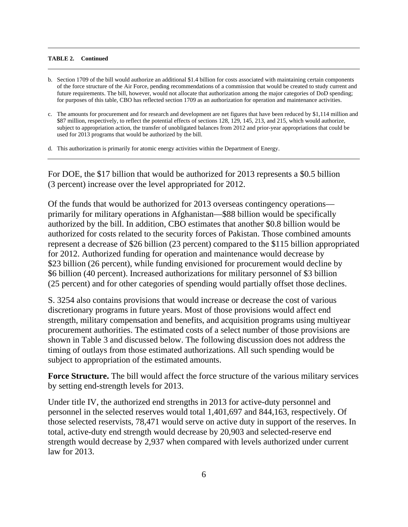#### **TABLE 2. Continued**

- b. Section 1709 of the bill would authorize an additional \$1.4 billion for costs associated with maintaining certain components of the force structure of the Air Force, pending recommendations of a commission that would be created to study current and future requirements. The bill, however, would not allocate that authorization among the major categories of DoD spending; for purposes of this table, CBO has reflected section 1709 as an authorization for operation and maintenance activities.
- c. The amounts for procurement and for research and development are net figures that have been reduced by \$1,114 million and \$87 million, respectively, to reflect the potential effects of sections 128, 129, 145, 213, and 215, which would authorize, subject to appropriation action, the transfer of unobligated balances from 2012 and prior-year appropriations that could be used for 2013 programs that would be authorized by the bill.
- d. This authorization is primarily for atomic energy activities within the Department of Energy.

For DOE, the \$17 billion that would be authorized for 2013 represents a \$0.5 billion (3 percent) increase over the level appropriated for 2012.

Of the funds that would be authorized for 2013 overseas contingency operations primarily for military operations in Afghanistan—\$88 billion would be specifically authorized by the bill. In addition, CBO estimates that another \$0.8 billion would be authorized for costs related to the security forces of Pakistan. Those combined amounts represent a decrease of \$26 billion (23 percent) compared to the \$115 billion appropriated for 2012. Authorized funding for operation and maintenance would decrease by \$23 billion (26 percent), while funding envisioned for procurement would decline by \$6 billion (40 percent). Increased authorizations for military personnel of \$3 billion (25 percent) and for other categories of spending would partially offset those declines.

S. 3254 also contains provisions that would increase or decrease the cost of various discretionary programs in future years. Most of those provisions would affect end strength, military compensation and benefits, and acquisition programs using multiyear procurement authorities. The estimated costs of a select number of those provisions are shown in Table 3 and discussed below. The following discussion does not address the timing of outlays from those estimated authorizations. All such spending would be subject to appropriation of the estimated amounts.

**Force Structure.** The bill would affect the force structure of the various military services by setting end-strength levels for 2013.

Under title IV, the authorized end strengths in 2013 for active-duty personnel and personnel in the selected reserves would total 1,401,697 and 844,163, respectively. Of those selected reservists, 78,471 would serve on active duty in support of the reserves. In total, active-duty end strength would decrease by 20,903 and selected-reserve end strength would decrease by 2,937 when compared with levels authorized under current law for 2013.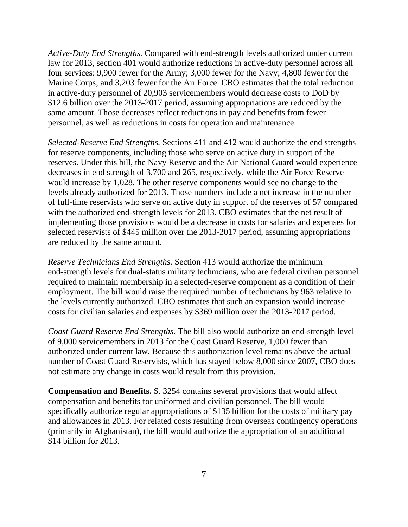*Active-Duty End Strengths.* Compared with end-strength levels authorized under current law for 2013, section 401 would authorize reductions in active-duty personnel across all four services: 9,900 fewer for the Army; 3,000 fewer for the Navy; 4,800 fewer for the Marine Corps; and 3,203 fewer for the Air Force. CBO estimates that the total reduction in active-duty personnel of 20,903 servicemembers would decrease costs to DoD by \$12.6 billion over the 2013-2017 period, assuming appropriations are reduced by the same amount. Those decreases reflect reductions in pay and benefits from fewer personnel, as well as reductions in costs for operation and maintenance.

*Selected-Reserve End Strengths.* Sections 411 and 412 would authorize the end strengths for reserve components, including those who serve on active duty in support of the reserves. Under this bill, the Navy Reserve and the Air National Guard would experience decreases in end strength of 3,700 and 265, respectively, while the Air Force Reserve would increase by 1,028. The other reserve components would see no change to the levels already authorized for 2013. Those numbers include a net increase in the number of full-time reservists who serve on active duty in support of the reserves of 57 compared with the authorized end-strength levels for 2013. CBO estimates that the net result of implementing those provisions would be a decrease in costs for salaries and expenses for selected reservists of \$445 million over the 2013-2017 period, assuming appropriations are reduced by the same amount.

*Reserve Technicians End Strengths.* Section 413 would authorize the minimum end-strength levels for dual-status military technicians, who are federal civilian personnel required to maintain membership in a selected-reserve component as a condition of their employment. The bill would raise the required number of technicians by 963 relative to the levels currently authorized. CBO estimates that such an expansion would increase costs for civilian salaries and expenses by \$369 million over the 2013-2017 period.

*Coast Guard Reserve End Strengths.* The bill also would authorize an end-strength level of 9,000 servicemembers in 2013 for the Coast Guard Reserve, 1,000 fewer than authorized under current law. Because this authorization level remains above the actual number of Coast Guard Reservists, which has stayed below 8,000 since 2007, CBO does not estimate any change in costs would result from this provision.

**Compensation and Benefits.** S. 3254 contains several provisions that would affect compensation and benefits for uniformed and civilian personnel. The bill would specifically authorize regular appropriations of \$135 billion for the costs of military pay and allowances in 2013. For related costs resulting from overseas contingency operations (primarily in Afghanistan), the bill would authorize the appropriation of an additional \$14 billion for 2013.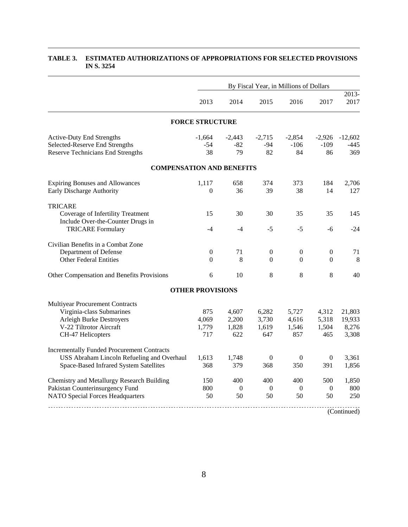|                                                   | By Fiscal Year, in Millions of Dollars |                  |                  |                  |                  |               |  |  |  |  |
|---------------------------------------------------|----------------------------------------|------------------|------------------|------------------|------------------|---------------|--|--|--|--|
|                                                   | 2013                                   | 2014             | 2015             | 2016             | 2017             | 2013-<br>2017 |  |  |  |  |
|                                                   | <b>FORCE STRUCTURE</b>                 |                  |                  |                  |                  |               |  |  |  |  |
| <b>Active-Duty End Strengths</b>                  | $-1,664$                               | $-2,443$         | $-2,715$         | $-2,854$         | $-2,926$         | $-12,602$     |  |  |  |  |
| Selected-Reserve End Strengths                    | $-54$                                  | $-82$            | $-94$            | $-106$           | $-109$           | -445          |  |  |  |  |
| <b>Reserve Technicians End Strengths</b>          | 38                                     | 79               | 82               | 84               | 86               | 369           |  |  |  |  |
| <b>COMPENSATION AND BENEFITS</b>                  |                                        |                  |                  |                  |                  |               |  |  |  |  |
| <b>Expiring Bonuses and Allowances</b>            | 1,117                                  | 658              | 374              | 373              | 184              | 2,706         |  |  |  |  |
| Early Discharge Authority                         | $\theta$                               | 36               | 39               | 38               | 14               | 127           |  |  |  |  |
| <b>TRICARE</b>                                    |                                        |                  |                  |                  |                  |               |  |  |  |  |
| Coverage of Infertility Treatment                 | 15                                     | 30               | 30               | 35               | 35               | 145           |  |  |  |  |
| Include Over-the-Counter Drugs in                 |                                        |                  |                  |                  |                  |               |  |  |  |  |
| <b>TRICARE Formulary</b>                          | $-4$                                   | $-4$             | $-5$             | $-5$             | -6               | $-24$         |  |  |  |  |
| Civilian Benefits in a Combat Zone                |                                        |                  |                  |                  |                  |               |  |  |  |  |
| Department of Defense                             | $\mathbf{0}$                           | 71               | $\theta$         | $\mathbf{0}$     | $\mathbf{0}$     | 71            |  |  |  |  |
| <b>Other Federal Entities</b>                     | $\boldsymbol{0}$                       | 8                | $\mathbf{0}$     | $\Omega$         | $\mathbf{0}$     | 8             |  |  |  |  |
| Other Compensation and Benefits Provisions        | 6                                      | 10               | 8                | 8                | 8                | 40            |  |  |  |  |
|                                                   | <b>OTHER PROVISIONS</b>                |                  |                  |                  |                  |               |  |  |  |  |
| Multiyear Procurement Contracts                   |                                        |                  |                  |                  |                  |               |  |  |  |  |
| Virginia-class Submarines                         | 875                                    | 4,607            | 6,282            | 5,727            | 4,312            | 21,803        |  |  |  |  |
| <b>Arleigh Burke Destroyers</b>                   | 4,069                                  | 2,200            | 3,730            | 4,616            | 5,318            | 19,933        |  |  |  |  |
| V-22 Tiltrotor Aircraft                           | 1,779                                  | 1,828            | 1,619            | 1,546            | 1,504            | 8,276         |  |  |  |  |
| CH-47 Helicopters                                 | 717                                    | 622              | 647              | 857              | 465              | 3,308         |  |  |  |  |
| <b>Incrementally Funded Procurement Contracts</b> |                                        |                  |                  |                  |                  |               |  |  |  |  |
| USS Abraham Lincoln Refueling and Overhaul        | 1,613                                  | 1,748            | $\boldsymbol{0}$ | $\boldsymbol{0}$ | $\boldsymbol{0}$ | 3,361         |  |  |  |  |
| Space-Based Infrared System Satellites            | 368                                    | 379              | 368              | 350              | 391              | 1,856         |  |  |  |  |
| Chemistry and Metallurgy Research Building        | 150                                    | 400              | 400              | 400              | 500              | 1,850         |  |  |  |  |
| Pakistan Counterinsurgency Fund                   | 800                                    | $\boldsymbol{0}$ | $\overline{0}$   | $\boldsymbol{0}$ | $\mathbf{0}$     | 800           |  |  |  |  |
| <b>NATO Special Forces Headquarters</b>           | 50                                     | 50               | 50               | 50               | 50               | 250           |  |  |  |  |
|                                                   |                                        |                  |                  |                  |                  | (Continued)   |  |  |  |  |

#### **TABLE 3. ESTIMATED AUTHORIZATIONS OF APPROPRIATIONS FOR SELECTED PROVISIONS IN S. 3254**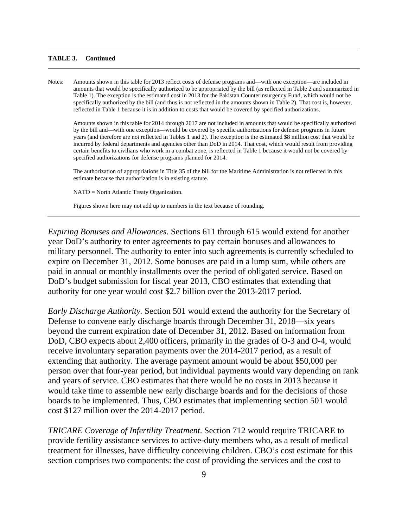#### **TABLE 3. Continued**

Notes: Amounts shown in this table for 2013 reflect costs of defense programs and—with one exception—are included in amounts that would be specifically authorized to be appropriated by the bill (as reflected in Table 2 and summarized in Table 1). The exception is the estimated cost in 2013 for the Pakistan Counterinsurgency Fund, which would not be specifically authorized by the bill (and thus is not reflected in the amounts shown in Table 2). That cost is, however, reflected in Table 1 because it is in addition to costs that would be covered by specified authorizations.

Amounts shown in this table for 2014 through 2017 are not included in amounts that would be specifically authorized by the bill and—with one exception—would be covered by specific authorizations for defense programs in future years (and therefore are not reflected in Tables 1 and 2). The exception is the estimated \$8 million cost that would be incurred by federal departments and agencies other than DoD in 2014. That cost, which would result from providing certain benefits to civilians who work in a combat zone, is reflected in Table 1 because it would not be covered by specified authorizations for defense programs planned for 2014.

The authorization of appropriations in Title 35 of the bill for the Maritime Administration is not reflected in this estimate because that authorization is in existing statute.

NATO = North Atlantic Treaty Organization.

Figures shown here may not add up to numbers in the text because of rounding.

*Expiring Bonuses and Allowances*. Sections 611 through 615 would extend for another year DoD's authority to enter agreements to pay certain bonuses and allowances to military personnel. The authority to enter into such agreements is currently scheduled to expire on December 31, 2012. Some bonuses are paid in a lump sum, while others are paid in annual or monthly installments over the period of obligated service. Based on DoD's budget submission for fiscal year 2013, CBO estimates that extending that authority for one year would cost \$2.7 billion over the 2013-2017 period.

*Early Discharge Authority.* Section 501 would extend the authority for the Secretary of Defense to convene early discharge boards through December 31, 2018—six years beyond the current expiration date of December 31, 2012. Based on information from DoD, CBO expects about 2,400 officers, primarily in the grades of O-3 and O-4, would receive involuntary separation payments over the 2014-2017 period, as a result of extending that authority. The average payment amount would be about \$50,000 per person over that four-year period, but individual payments would vary depending on rank and years of service. CBO estimates that there would be no costs in 2013 because it would take time to assemble new early discharge boards and for the decisions of those boards to be implemented. Thus, CBO estimates that implementing section 501 would cost \$127 million over the 2014-2017 period.

*TRICARE Coverage of Infertility Treatment*. Section 712 would require TRICARE to provide fertility assistance services to active-duty members who, as a result of medical treatment for illnesses, have difficulty conceiving children. CBO's cost estimate for this section comprises two components: the cost of providing the services and the cost to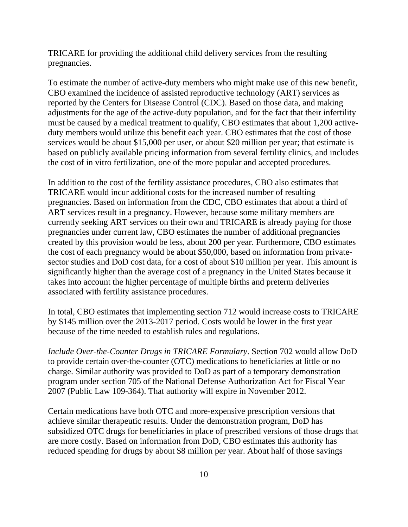TRICARE for providing the additional child delivery services from the resulting pregnancies.

To estimate the number of active-duty members who might make use of this new benefit, CBO examined the incidence of assisted reproductive technology (ART) services as reported by the Centers for Disease Control (CDC). Based on those data, and making adjustments for the age of the active-duty population, and for the fact that their infertility must be caused by a medical treatment to qualify, CBO estimates that about 1,200 activeduty members would utilize this benefit each year. CBO estimates that the cost of those services would be about \$15,000 per user, or about \$20 million per year; that estimate is based on publicly available pricing information from several fertility clinics, and includes the cost of in vitro fertilization, one of the more popular and accepted procedures.

In addition to the cost of the fertility assistance procedures, CBO also estimates that TRICARE would incur additional costs for the increased number of resulting pregnancies. Based on information from the CDC, CBO estimates that about a third of ART services result in a pregnancy. However, because some military members are currently seeking ART services on their own and TRICARE is already paying for those pregnancies under current law, CBO estimates the number of additional pregnancies created by this provision would be less, about 200 per year. Furthermore, CBO estimates the cost of each pregnancy would be about \$50,000, based on information from privatesector studies and DoD cost data, for a cost of about \$10 million per year. This amount is significantly higher than the average cost of a pregnancy in the United States because it takes into account the higher percentage of multiple births and preterm deliveries associated with fertility assistance procedures.

In total, CBO estimates that implementing section 712 would increase costs to TRICARE by \$145 million over the 2013-2017 period. Costs would be lower in the first year because of the time needed to establish rules and regulations.

*Include Over-the-Counter Drugs in TRICARE Formulary*. Section 702 would allow DoD to provide certain over-the-counter (OTC) medications to beneficiaries at little or no charge. Similar authority was provided to DoD as part of a temporary demonstration program under section 705 of the National Defense Authorization Act for Fiscal Year 2007 (Public Law 109-364). That authority will expire in November 2012.

Certain medications have both OTC and more-expensive prescription versions that achieve similar therapeutic results. Under the demonstration program, DoD has subsidized OTC drugs for beneficiaries in place of prescribed versions of those drugs that are more costly. Based on information from DoD, CBO estimates this authority has reduced spending for drugs by about \$8 million per year. About half of those savings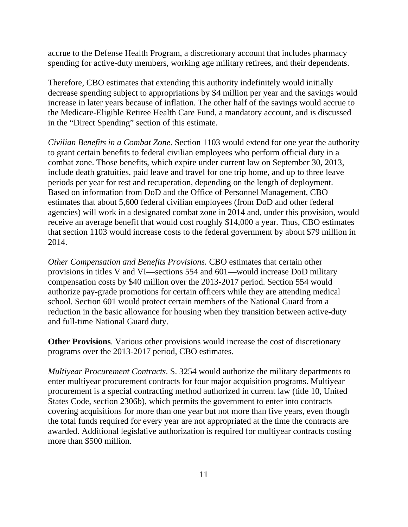accrue to the Defense Health Program, a discretionary account that includes pharmacy spending for active-duty members, working age military retirees, and their dependents.

Therefore, CBO estimates that extending this authority indefinitely would initially decrease spending subject to appropriations by \$4 million per year and the savings would increase in later years because of inflation. The other half of the savings would accrue to the Medicare-Eligible Retiree Health Care Fund, a mandatory account, and is discussed in the "Direct Spending" section of this estimate.

*Civilian Benefits in a Combat Zone*. Section 1103 would extend for one year the authority to grant certain benefits to federal civilian employees who perform official duty in a combat zone. Those benefits, which expire under current law on September 30, 2013, include death gratuities, paid leave and travel for one trip home, and up to three leave periods per year for rest and recuperation, depending on the length of deployment. Based on information from DoD and the Office of Personnel Management, CBO estimates that about 5,600 federal civilian employees (from DoD and other federal agencies) will work in a designated combat zone in 2014 and, under this provision, would receive an average benefit that would cost roughly \$14,000 a year. Thus, CBO estimates that section 1103 would increase costs to the federal government by about \$79 million in 2014.

*Other Compensation and Benefits Provisions.* CBO estimates that certain other provisions in titles V and VI—sections 554 and 601—would increase DoD military compensation costs by \$40 million over the 2013-2017 period. Section 554 would authorize pay-grade promotions for certain officers while they are attending medical school. Section 601 would protect certain members of the National Guard from a reduction in the basic allowance for housing when they transition between active-duty and full-time National Guard duty.

**Other Provisions**. Various other provisions would increase the cost of discretionary programs over the 2013-2017 period, CBO estimates.

*Multiyear Procurement Contracts*. S. 3254 would authorize the military departments to enter multiyear procurement contracts for four major acquisition programs. Multiyear procurement is a special contracting method authorized in current law (title 10, United States Code, section 2306b), which permits the government to enter into contracts covering acquisitions for more than one year but not more than five years, even though the total funds required for every year are not appropriated at the time the contracts are awarded. Additional legislative authorization is required for multiyear contracts costing more than \$500 million.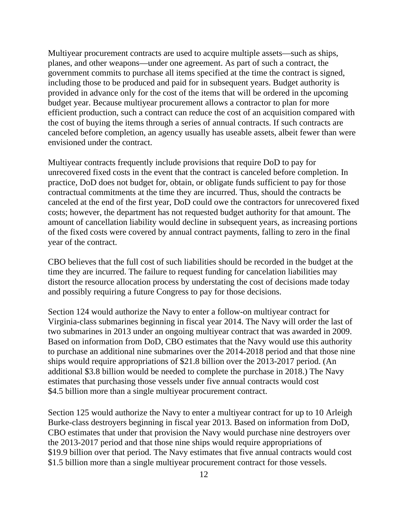Multiyear procurement contracts are used to acquire multiple assets—such as ships, planes, and other weapons—under one agreement. As part of such a contract, the government commits to purchase all items specified at the time the contract is signed, including those to be produced and paid for in subsequent years. Budget authority is provided in advance only for the cost of the items that will be ordered in the upcoming budget year. Because multiyear procurement allows a contractor to plan for more efficient production, such a contract can reduce the cost of an acquisition compared with the cost of buying the items through a series of annual contracts. If such contracts are canceled before completion, an agency usually has useable assets, albeit fewer than were envisioned under the contract.

Multiyear contracts frequently include provisions that require DoD to pay for unrecovered fixed costs in the event that the contract is canceled before completion. In practice, DoD does not budget for, obtain, or obligate funds sufficient to pay for those contractual commitments at the time they are incurred. Thus, should the contracts be canceled at the end of the first year, DoD could owe the contractors for unrecovered fixed costs; however, the department has not requested budget authority for that amount. The amount of cancellation liability would decline in subsequent years, as increasing portions of the fixed costs were covered by annual contract payments, falling to zero in the final year of the contract.

CBO believes that the full cost of such liabilities should be recorded in the budget at the time they are incurred. The failure to request funding for cancelation liabilities may distort the resource allocation process by understating the cost of decisions made today and possibly requiring a future Congress to pay for those decisions.

Section 124 would authorize the Navy to enter a follow-on multiyear contract for Virginia-class submarines beginning in fiscal year 2014. The Navy will order the last of two submarines in 2013 under an ongoing multiyear contract that was awarded in 2009. Based on information from DoD, CBO estimates that the Navy would use this authority to purchase an additional nine submarines over the 2014-2018 period and that those nine ships would require appropriations of \$21.8 billion over the 2013-2017 period. (An additional \$3.8 billion would be needed to complete the purchase in 2018.) The Navy estimates that purchasing those vessels under five annual contracts would cost \$4.5 billion more than a single multiyear procurement contract.

Section 125 would authorize the Navy to enter a multiyear contract for up to 10 Arleigh Burke-class destroyers beginning in fiscal year 2013. Based on information from DoD, CBO estimates that under that provision the Navy would purchase nine destroyers over the 2013-2017 period and that those nine ships would require appropriations of \$19.9 billion over that period. The Navy estimates that five annual contracts would cost \$1.5 billion more than a single multiyear procurement contract for those vessels.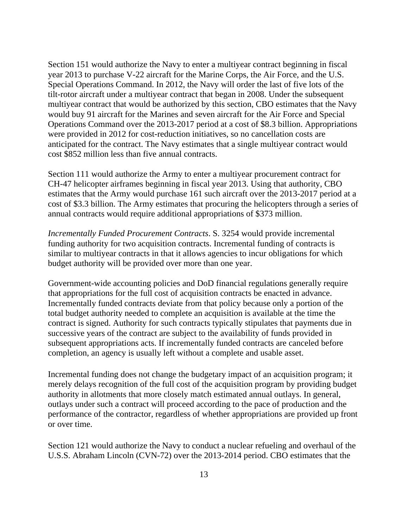Section 151 would authorize the Navy to enter a multiyear contract beginning in fiscal year 2013 to purchase V-22 aircraft for the Marine Corps, the Air Force, and the U.S. Special Operations Command. In 2012, the Navy will order the last of five lots of the tilt-rotor aircraft under a multiyear contract that began in 2008. Under the subsequent multiyear contract that would be authorized by this section, CBO estimates that the Navy would buy 91 aircraft for the Marines and seven aircraft for the Air Force and Special Operations Command over the 2013-2017 period at a cost of \$8.3 billion. Appropriations were provided in 2012 for cost-reduction initiatives, so no cancellation costs are anticipated for the contract. The Navy estimates that a single multiyear contract would cost \$852 million less than five annual contracts.

Section 111 would authorize the Army to enter a multiyear procurement contract for CH-47 helicopter airframes beginning in fiscal year 2013. Using that authority, CBO estimates that the Army would purchase 161 such aircraft over the 2013-2017 period at a cost of \$3.3 billion. The Army estimates that procuring the helicopters through a series of annual contracts would require additional appropriations of \$373 million.

*Incrementally Funded Procurement Contracts*. S. 3254 would provide incremental funding authority for two acquisition contracts. Incremental funding of contracts is similar to multiyear contracts in that it allows agencies to incur obligations for which budget authority will be provided over more than one year.

Government-wide accounting policies and DoD financial regulations generally require that appropriations for the full cost of acquisition contracts be enacted in advance. Incrementally funded contracts deviate from that policy because only a portion of the total budget authority needed to complete an acquisition is available at the time the contract is signed. Authority for such contracts typically stipulates that payments due in successive years of the contract are subject to the availability of funds provided in subsequent appropriations acts. If incrementally funded contracts are canceled before completion, an agency is usually left without a complete and usable asset.

Incremental funding does not change the budgetary impact of an acquisition program; it merely delays recognition of the full cost of the acquisition program by providing budget authority in allotments that more closely match estimated annual outlays. In general, outlays under such a contract will proceed according to the pace of production and the performance of the contractor, regardless of whether appropriations are provided up front or over time.

Section 121 would authorize the Navy to conduct a nuclear refueling and overhaul of the U.S.S. Abraham Lincoln (CVN-72) over the 2013-2014 period. CBO estimates that the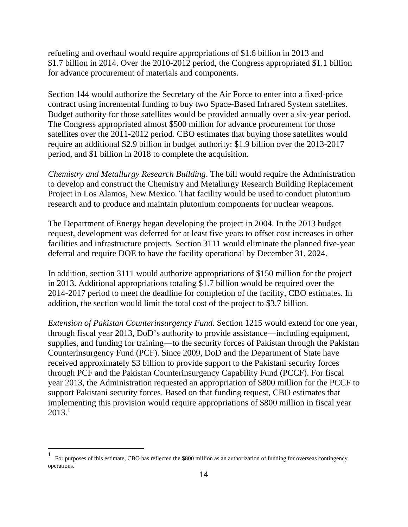refueling and overhaul would require appropriations of \$1.6 billion in 2013 and \$1.7 billion in 2014. Over the 2010-2012 period, the Congress appropriated \$1.1 billion for advance procurement of materials and components.

Section 144 would authorize the Secretary of the Air Force to enter into a fixed-price contract using incremental funding to buy two Space-Based Infrared System satellites. Budget authority for those satellites would be provided annually over a six-year period. The Congress appropriated almost \$500 million for advance procurement for those satellites over the 2011-2012 period. CBO estimates that buying those satellites would require an additional \$2.9 billion in budget authority: \$1.9 billion over the 2013-2017 period, and \$1 billion in 2018 to complete the acquisition.

*Chemistry and Metallurgy Research Building*. The bill would require the Administration to develop and construct the Chemistry and Metallurgy Research Building Replacement Project in Los Alamos, New Mexico. That facility would be used to conduct plutonium research and to produce and maintain plutonium components for nuclear weapons.

The Department of Energy began developing the project in 2004. In the 2013 budget request, development was deferred for at least five years to offset cost increases in other facilities and infrastructure projects. Section 3111 would eliminate the planned five-year deferral and require DOE to have the facility operational by December 31, 2024.

In addition, section 3111 would authorize appropriations of \$150 million for the project in 2013. Additional appropriations totaling \$1.7 billion would be required over the 2014-2017 period to meet the deadline for completion of the facility, CBO estimates. In addition, the section would limit the total cost of the project to \$3.7 billion.

*Extension of Pakistan Counterinsurgency Fund.* Section 1215 would extend for one year, through fiscal year 2013, DoD's authority to provide assistance—including equipment, supplies, and funding for training—to the security forces of Pakistan through the Pakistan Counterinsurgency Fund (PCF). Since 2009, DoD and the Department of State have received approximately \$3 billion to provide support to the Pakistani security forces through PCF and the Pakistan Counterinsurgency Capability Fund (PCCF). For fiscal year 2013, the Administration requested an appropriation of \$800 million for the PCCF to support Pakistani security forces. Based on that funding request, CBO estimates that implementing this provision would require appropriations of \$800 million in fiscal year  $2013.<sup>1</sup>$ 

 $\overline{a}$ 

<sup>1</sup> For purposes of this estimate, CBO has reflected the \$800 million as an authorization of funding for overseas contingency operations.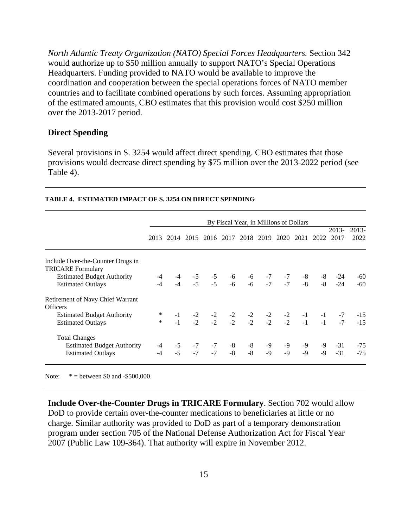*North Atlantic Treaty Organization (NATO) Special Forces Headquarters.* Section 342 would authorize up to \$50 million annually to support NATO's Special Operations Headquarters. Funding provided to NATO would be available to improve the coordination and cooperation between the special operations forces of NATO member countries and to facilitate combined operations by such forces. Assuming appropriation of the estimated amounts, CBO estimates that this provision would cost \$250 million over the 2013-2017 period.

#### **Direct Spending**

Several provisions in S. 3254 would affect direct spending. CBO estimates that those provisions would decrease direct spending by \$75 million over the 2013-2022 period (see Table 4).

|                                                               | By Fiscal Year, in Millions of Dollars |                                                                |  |  |  |                                                                          |  |                        |              |      |                                                                                                             |                 |
|---------------------------------------------------------------|----------------------------------------|----------------------------------------------------------------|--|--|--|--------------------------------------------------------------------------|--|------------------------|--------------|------|-------------------------------------------------------------------------------------------------------------|-----------------|
|                                                               | 2013                                   | 2014                                                           |  |  |  | 2015 2016 2017 2018 2019                                                 |  |                        | 2020 2021    | 2022 | $2013-$<br>2017                                                                                             | $2013-$<br>2022 |
| Include Over-the-Counter Drugs in<br><b>TRICARE Formulary</b> |                                        |                                                                |  |  |  |                                                                          |  |                        |              |      |                                                                                                             |                 |
| <b>Estimated Budget Authority</b>                             |                                        |                                                                |  |  |  |                                                                          |  |                        |              |      | $-8$ $-24$                                                                                                  | -60             |
| <b>Estimated Outlays</b>                                      |                                        |                                                                |  |  |  | $-4$ $-5$ $-5$ $-6$ $-6$ $-7$ $-7$<br>$-4$ $-5$ $-5$ $-6$ $-6$ $-7$ $-7$ |  |                        | $-8$<br>$-8$ | $-8$ | $-24$                                                                                                       | $-60$           |
| Retirement of Navy Chief Warrant<br><b>Officers</b>           |                                        |                                                                |  |  |  |                                                                          |  |                        |              |      |                                                                                                             |                 |
| <b>Estimated Budget Authority</b>                             |                                        |                                                                |  |  |  |                                                                          |  |                        |              |      |                                                                                                             | $-15$           |
| <b>Estimated Outlays</b>                                      |                                        |                                                                |  |  |  |                                                                          |  |                        |              |      | $-1$ $-2$ $-2$ $-2$ $-2$ $-2$ $-2$ $-2$ $-1$ $-1$ $-7$<br>$-1$ $-2$ $-2$ $-2$ $-2$ $-2$ $-2$ $-1$ $-1$ $-7$ | $-15$           |
| <b>Total Changes</b>                                          |                                        |                                                                |  |  |  |                                                                          |  |                        |              |      |                                                                                                             |                 |
| <b>Estimated Budget Authority</b>                             |                                        |                                                                |  |  |  |                                                                          |  |                        | -9           | -9   | $-31$                                                                                                       | $-75$           |
| <b>Estimated Outlays</b>                                      |                                        | $-4$ $-5$ $-7$ $-7$ $-8$ $-8$<br>$-4$ $-5$ $-7$ $-7$ $-8$ $-8$ |  |  |  |                                                                          |  | $-9$ $-9$<br>$-9$ $-9$ | $-9$         | $-9$ | $-31$                                                                                                       | $-75$           |
|                                                               |                                        |                                                                |  |  |  |                                                                          |  |                        |              |      |                                                                                                             |                 |

#### **TABLE 4. ESTIMATED IMPACT OF S. 3254 ON DIRECT SPENDING**

Note: \* = between \$0 and -\$500,000.

**Include Over-the-Counter Drugs in TRICARE Formulary**. Section 702 would allow DoD to provide certain over-the-counter medications to beneficiaries at little or no charge. Similar authority was provided to DoD as part of a temporary demonstration program under section 705 of the National Defense Authorization Act for Fiscal Year 2007 (Public Law 109-364). That authority will expire in November 2012.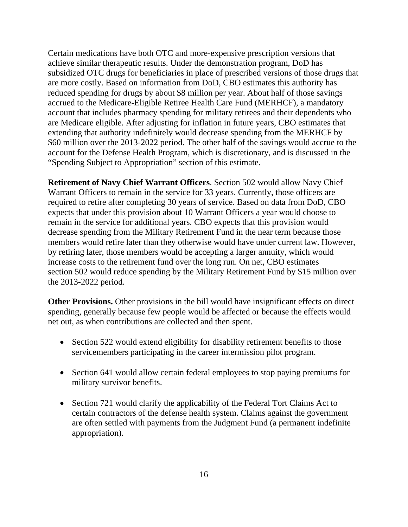Certain medications have both OTC and more-expensive prescription versions that achieve similar therapeutic results. Under the demonstration program, DoD has subsidized OTC drugs for beneficiaries in place of prescribed versions of those drugs that are more costly. Based on information from DoD, CBO estimates this authority has reduced spending for drugs by about \$8 million per year. About half of those savings accrued to the Medicare-Eligible Retiree Health Care Fund (MERHCF), a mandatory account that includes pharmacy spending for military retirees and their dependents who are Medicare eligible. After adjusting for inflation in future years, CBO estimates that extending that authority indefinitely would decrease spending from the MERHCF by \$60 million over the 2013-2022 period. The other half of the savings would accrue to the account for the Defense Health Program, which is discretionary, and is discussed in the "Spending Subject to Appropriation" section of this estimate.

**Retirement of Navy Chief Warrant Officers**. Section 502 would allow Navy Chief Warrant Officers to remain in the service for 33 years. Currently, those officers are required to retire after completing 30 years of service. Based on data from DoD, CBO expects that under this provision about 10 Warrant Officers a year would choose to remain in the service for additional years. CBO expects that this provision would decrease spending from the Military Retirement Fund in the near term because those members would retire later than they otherwise would have under current law. However, by retiring later, those members would be accepting a larger annuity, which would increase costs to the retirement fund over the long run. On net, CBO estimates section 502 would reduce spending by the Military Retirement Fund by \$15 million over the 2013-2022 period.

**Other Provisions.** Other provisions in the bill would have insignificant effects on direct spending, generally because few people would be affected or because the effects would net out, as when contributions are collected and then spent.

- Section 522 would extend eligibility for disability retirement benefits to those servicemembers participating in the career intermission pilot program.
- Section 641 would allow certain federal employees to stop paying premiums for military survivor benefits.
- Section 721 would clarify the applicability of the Federal Tort Claims Act to certain contractors of the defense health system. Claims against the government are often settled with payments from the Judgment Fund (a permanent indefinite appropriation).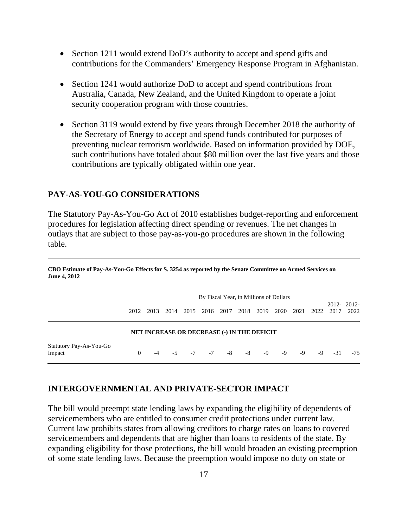- Section 1211 would extend DoD's authority to accept and spend gifts and contributions for the Commanders' Emergency Response Program in Afghanistan.
- Section 1241 would authorize DoD to accept and spend contributions from Australia, Canada, New Zealand, and the United Kingdom to operate a joint security cooperation program with those countries.
- Section 3119 would extend by five years through December 2018 the authority of the Secretary of Energy to accept and spend funds contributed for purposes of preventing nuclear terrorism worldwide. Based on information provided by DOE, such contributions have totaled about \$80 million over the last five years and those contributions are typically obligated within one year.

### **PAY-AS-YOU-GO CONSIDERATIONS**

The Statutory Pay-As-You-Go Act of 2010 establishes budget-reporting and enforcement procedures for legislation affecting direct spending or revenues. The net changes in outlays that are subject to those pay-as-you-go procedures are shown in the following table.

|                                             | By Fiscal Year, in Millions of Dollars |      |      |      |                |      |      |      |      |      |      |       |                    |
|---------------------------------------------|----------------------------------------|------|------|------|----------------|------|------|------|------|------|------|-------|--------------------|
|                                             | 2012                                   | 2013 | 2014 | 2015 | 2016           | 2017 | 2018 | 2019 | 2020 | 2021 | 2022 | 2017  | 2012-2012-<br>2022 |
| NET INCREASE OR DECREASE (-) IN THE DEFICIT |                                        |      |      |      |                |      |      |      |      |      |      |       |                    |
| Statutory Pay-As-You-Go<br>Impact           | $\Omega$                               | $-4$ |      |      | $-5$ $-7$ $-7$ | $-8$ | -8   | -9   | $-9$ | -9   | -9   | $-31$ | $-75$              |

**CBO Estimate of Pay-As-You-Go Effects for S. 3254 as reported by the Senate Committee on Armed Services on June 4, 2012** 

### **INTERGOVERNMENTAL AND PRIVATE-SECTOR IMPACT**

The bill would preempt state lending laws by expanding the eligibility of dependents of servicemembers who are entitled to consumer credit protections under current law. Current law prohibits states from allowing creditors to charge rates on loans to covered servicemembers and dependents that are higher than loans to residents of the state. By expanding eligibility for those protections, the bill would broaden an existing preemption of some state lending laws. Because the preemption would impose no duty on state or